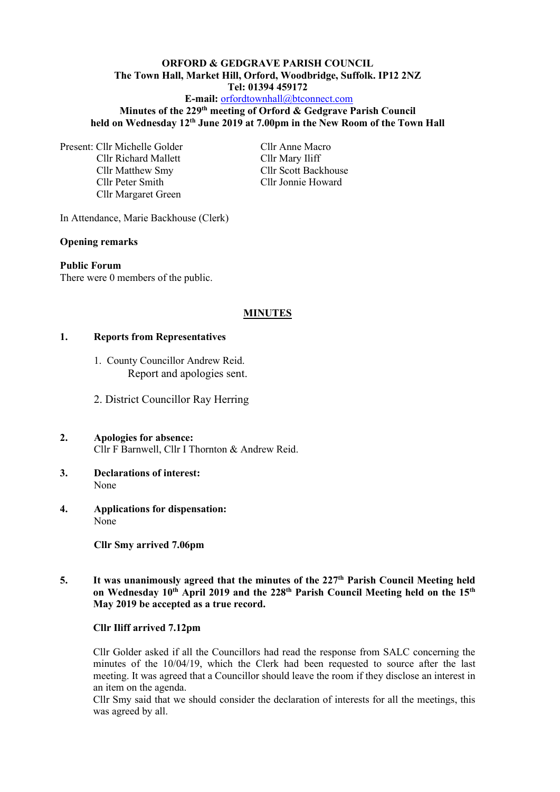# **ORFORD & GEDGRAVE PARISH COUNCIL The Town Hall, Market Hill, Orford, Woodbridge, Suffolk. IP12 2NZ Tel: 01394 459172**

# **E-mail:** [orfordtownhall@btconnect.com](mailto:orfordtownhall@btconnect.com)

#### **Minutes of the 229 th meeting of Orford & Gedgrave Parish Council held on Wednesday 12 th June 2019 at 7.00pm in the New Room of the Town Hall**

Present: Cllr Michelle Golder Cllr Anne Macro Cllr Richard Mallett Cllr Mary Iliff Cllr Matthew Smy Cllr Scott Backhouse Cllr Peter Smith Cllr Jonnie Howard Cllr Margaret Green

In Attendance, Marie Backhouse (Clerk)

### **Opening remarks**

**Public Forum** There were 0 members of the public.

#### **MINUTES**

#### **1. Reports from Representatives**

- 1. County Councillor Andrew Reid. Report and apologies sent.
- 2. District Councillor Ray Herring
- **2. Apologies for absence:** Cllr F Barnwell, Cllr I Thornton & Andrew Reid.
- **3. Declarations of interest:** None
- **4. Applications for dispensation:** None

**Cllr Smy arrived 7.06pm**

5. It was unanimously agreed that the minutes of the 227<sup>th</sup> Parish Council Meeting held **on Wednesday 10 th April 2019 and the 228th Parish Council Meeting held on the 15th May 2019 be accepted as a true record.**

#### **Cllr Iliff arrived 7.12pm**

Cllr Golder asked if all the Councillors had read the response from SALC concerning the minutes of the 10/04/19, which the Clerk had been requested to source after the last meeting. It was agreed that a Councillor should leave the room if they disclose an interest in an item on the agenda.

Cllr Smy said that we should consider the declaration of interests for all the meetings, this was agreed by all.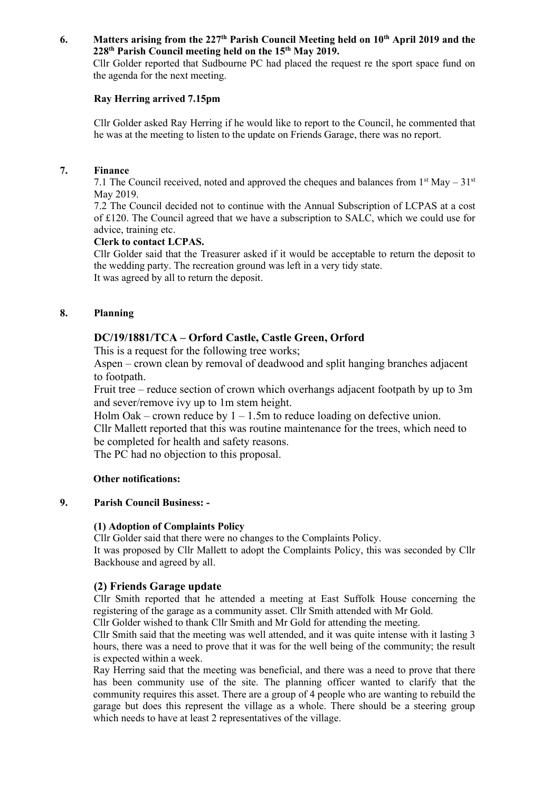### **6. Matters arising from the 227 th Parish Council Meeting held on 10 th April 2019 and the 228th Parish Council meeting held on the 15th May 2019.**

Cllr Golder reported that Sudbourne PC had placed the request re the sport space fund on the agenda for the next meeting.

### **Ray Herring arrived 7.15pm**

Cllr Golder asked Ray Herring if he would like to report to the Council, he commented that he was at the meeting to listen to the update on Friends Garage, there was no report.

### **7. Finance**

7.1 The Council received, noted and approved the cheques and balances from  $1<sup>st</sup>$  May –  $31<sup>st</sup>$ May 2019.

7.2 The Council decided not to continue with the Annual Subscription of LCPAS at a cost of £120. The Council agreed that we have a subscription to SALC, which we could use for advice, training etc.

# **Clerk to contact LCPAS.**

Cllr Golder said that the Treasurer asked if it would be acceptable to return the deposit to the wedding party. The recreation ground was left in a very tidy state. It was agreed by all to return the deposit.

# **8. Planning**

# **DC/19/1881/TCA – Orford Castle, Castle Green, Orford**

This is a request for the following tree works;

Aspen – crown clean by removal of deadwood and split hanging branches adjacent to footpath.

Fruit tree – reduce section of crown which overhangs adjacent footpath by up to 3m and sever/remove ivy up to 1m stem height.

Holm Oak – crown reduce by  $1 - 1.5$ m to reduce loading on defective union.

Cllr Mallett reported that this was routine maintenance for the trees, which need to be completed for health and safety reasons.

The PC had no objection to this proposal.

# **Other notifications:**

# **9. Parish Council Business: -**

# **(1) Adoption of Complaints Policy**

Cllr Golder said that there were no changes to the Complaints Policy.

It was proposed by Cllr Mallett to adopt the Complaints Policy, this was seconded by Cllr Backhouse and agreed by all.

# **(2) Friends Garage update**

Cllr Smith reported that he attended a meeting at East Suffolk House concerning the registering of the garage as a community asset. Cllr Smith attended with Mr Gold.

Cllr Golder wished to thank Cllr Smith and Mr Gold for attending the meeting.

Cllr Smith said that the meeting was well attended, and it was quite intense with it lasting 3 hours, there was a need to prove that it was for the well being of the community; the result is expected within a week.

Ray Herring said that the meeting was beneficial, and there was a need to prove that there has been community use of the site. The planning officer wanted to clarify that the community requires this asset. There are a group of 4 people who are wanting to rebuild the garage but does this represent the village as a whole. There should be a steering group which needs to have at least 2 representatives of the village.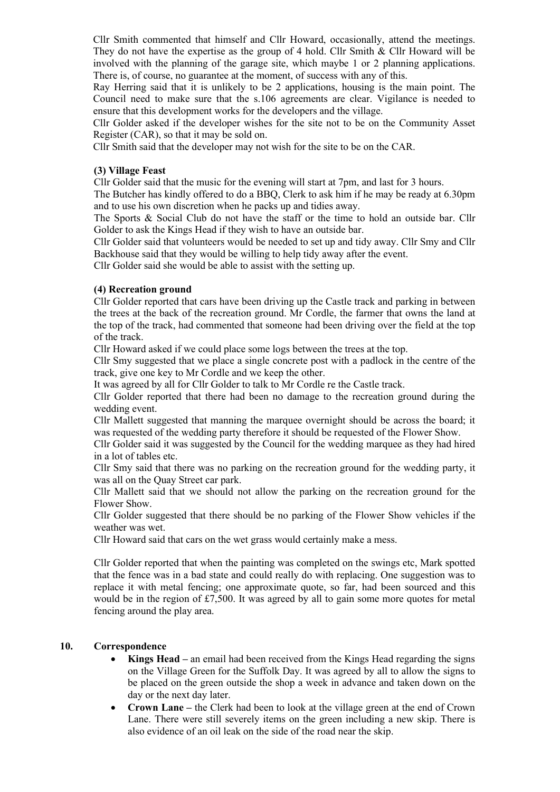Cllr Smith commented that himself and Cllr Howard, occasionally, attend the meetings. They do not have the expertise as the group of 4 hold. Cllr Smith & Cllr Howard will be involved with the planning of the garage site, which maybe 1 or 2 planning applications. There is, of course, no guarantee at the moment, of success with any of this.

Ray Herring said that it is unlikely to be 2 applications, housing is the main point. The Council need to make sure that the s.106 agreements are clear. Vigilance is needed to ensure that this development works for the developers and the village.

Cllr Golder asked if the developer wishes for the site not to be on the Community Asset Register (CAR), so that it may be sold on.

Cllr Smith said that the developer may not wish for the site to be on the CAR.

#### **(3) Village Feast**

Cllr Golder said that the music for the evening will start at 7pm, and last for 3 hours.

The Butcher has kindly offered to do a BBQ, Clerk to ask him if he may be ready at 6.30pm and to use his own discretion when he packs up and tidies away.

The Sports & Social Club do not have the staff or the time to hold an outside bar. Cllr Golder to ask the Kings Head if they wish to have an outside bar.

Cllr Golder said that volunteers would be needed to set up and tidy away. Cllr Smy and Cllr Backhouse said that they would be willing to help tidy away after the event.

Cllr Golder said she would be able to assist with the setting up.

#### **(4) Recreation ground**

Cllr Golder reported that cars have been driving up the Castle track and parking in between the trees at the back of the recreation ground. Mr Cordle, the farmer that owns the land at the top of the track, had commented that someone had been driving over the field at the top of the track.

Cllr Howard asked if we could place some logs between the trees at the top.

Cllr Smy suggested that we place a single concrete post with a padlock in the centre of the track, give one key to Mr Cordle and we keep the other.

It was agreed by all for Cllr Golder to talk to Mr Cordle re the Castle track.

Cllr Golder reported that there had been no damage to the recreation ground during the wedding event.

Cllr Mallett suggested that manning the marquee overnight should be across the board; it was requested of the wedding party therefore it should be requested of the Flower Show.

Cllr Golder said it was suggested by the Council for the wedding marquee as they had hired in a lot of tables etc.

Cllr Smy said that there was no parking on the recreation ground for the wedding party, it was all on the Quay Street car park.

Cllr Mallett said that we should not allow the parking on the recreation ground for the Flower Show.

Cllr Golder suggested that there should be no parking of the Flower Show vehicles if the weather was wet.

Cllr Howard said that cars on the wet grass would certainly make a mess.

Cllr Golder reported that when the painting was completed on the swings etc, Mark spotted that the fence was in a bad state and could really do with replacing. One suggestion was to replace it with metal fencing; one approximate quote, so far, had been sourced and this would be in the region of £7,500. It was agreed by all to gain some more quotes for metal fencing around the play area.

### **10. Correspondence**

- **Kings Head –** an email had been received from the Kings Head regarding the signs on the Village Green for the Suffolk Day. It was agreed by all to allow the signs to be placed on the green outside the shop a week in advance and taken down on the day or the next day later.
- **Crown Lane –** the Clerk had been to look at the village green at the end of Crown Lane. There were still severely items on the green including a new skip. There is also evidence of an oil leak on the side of the road near the skip.